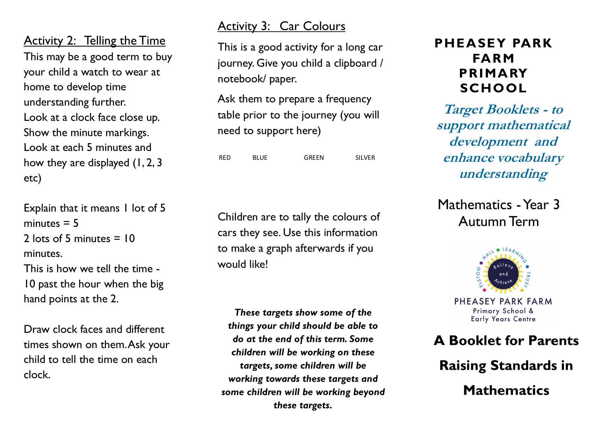Activity 2: Telling the Time This may be a good term to buy your child a watch to wear at home to develop time understanding further. Look at a clock face close up. Show the minute markings. Look at each 5 minutes and how they are displayed (1, 2, 3 etc)

Explain that it means 1 lot of 5 minutes  $= 5$ 2 lots of 5 minutes  $= 10$ minutes. This is how we tell the time - 10 past the hour when the big hand points at the 2.

Draw clock faces and different times shown on them. Ask your child to tell the time on each clock.

#### Activity 3: Car Colours

This is a good activity for a long car journey. Give you child a clipboard / notebook/ paper.

Ask them to prepare a frequency table prior to the journey (you will need to support here)

RED BLUE GREEN SILVER

Children are to tally the colours of cars they see. Use this information to make a graph afterwards if you would like!

*These targets show some of the things your child should be able to do at the end of this term. Some children will be working on these targets, some children will be working towards these targets and some children will be working beyond these targets.*

#### **PHEASEY PARK FARM PRIMARY SCHOOL**

**Target Booklets - to support mathematical development and enhance vocabulary understanding**

Mathematics - Year 3 Autumn Term



PHEASEY PARK FARM Primary School & **Early Years Centre** 

### **A Booklet for Parents**

**Raising Standards in** 

**Mathematics**